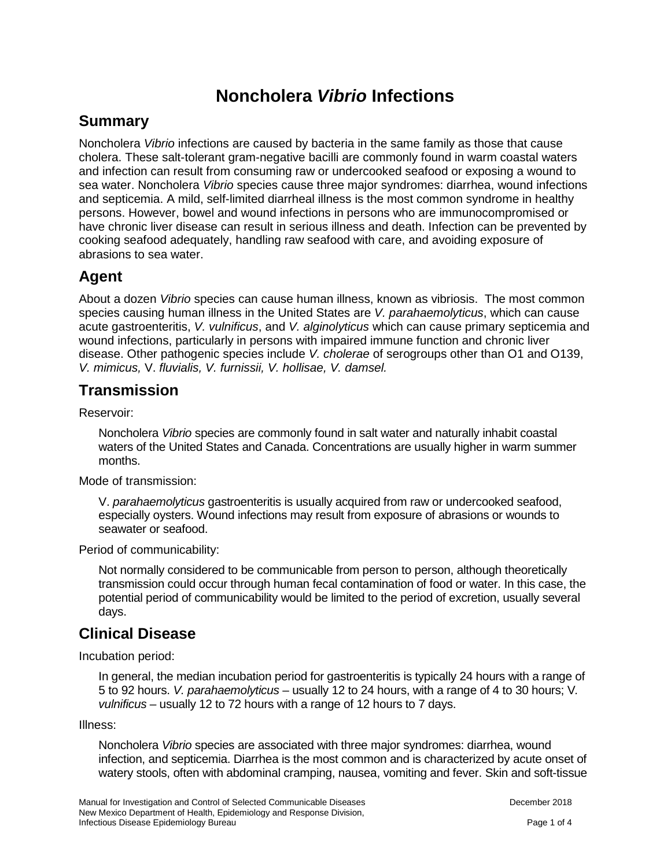# **Noncholera** *Vibrio* **Infections**

#### **Summary**

Noncholera *Vibrio* infections are caused by bacteria in the same family as those that cause cholera. These salt-tolerant gram-negative bacilli are commonly found in warm coastal waters and infection can result from consuming raw or undercooked seafood or exposing a wound to sea water. Noncholera *Vibrio* species cause three major syndromes: diarrhea, wound infections and septicemia. A mild, self-limited diarrheal illness is the most common syndrome in healthy persons. However, bowel and wound infections in persons who are immunocompromised or have chronic liver disease can result in serious illness and death. Infection can be prevented by cooking seafood adequately, handling raw seafood with care, and avoiding exposure of abrasions to sea water.

## **Agent**

About a dozen *Vibrio* species can cause human illness, known as vibriosis. The most common species causing human illness in the United States are *V. parahaemolyticus*, which can cause acute gastroenteritis, *V. vulnificus*, and *V. alginolyticus* which can cause primary septicemia and wound infections, particularly in persons with impaired immune function and chronic liver disease. Other pathogenic species include *V. cholerae* of serogroups other than O1 and O139, *V. mimicus,* V. *fluvialis, V. furnissii, V. hollisae, V. damsel.*

## **Transmission**

Reservoir:

Noncholera *Vibrio* species are commonly found in salt water and naturally inhabit coastal waters of the United States and Canada. Concentrations are usually higher in warm summer months.

Mode of transmission:

V. *parahaemolyticus* gastroenteritis is usually acquired from raw or undercooked seafood, especially oysters. Wound infections may result from exposure of abrasions or wounds to seawater or seafood.

Period of communicability:

Not normally considered to be communicable from person to person, although theoretically transmission could occur through human fecal contamination of food or water. In this case, the potential period of communicability would be limited to the period of excretion, usually several days.

## **Clinical Disease**

Incubation period:

In general, the median incubation period for gastroenteritis is typically 24 hours with a range of 5 to 92 hours. *V. parahaemolyticus* – usually 12 to 24 hours, with a range of 4 to 30 hours; V*. vulnificus* – usually 12 to 72 hours with a range of 12 hours to 7 days.

Illness:

Noncholera *Vibrio* species are associated with three major syndromes: diarrhea, wound infection, and septicemia. Diarrhea is the most common and is characterized by acute onset of watery stools, often with abdominal cramping, nausea, vomiting and fever. Skin and soft-tissue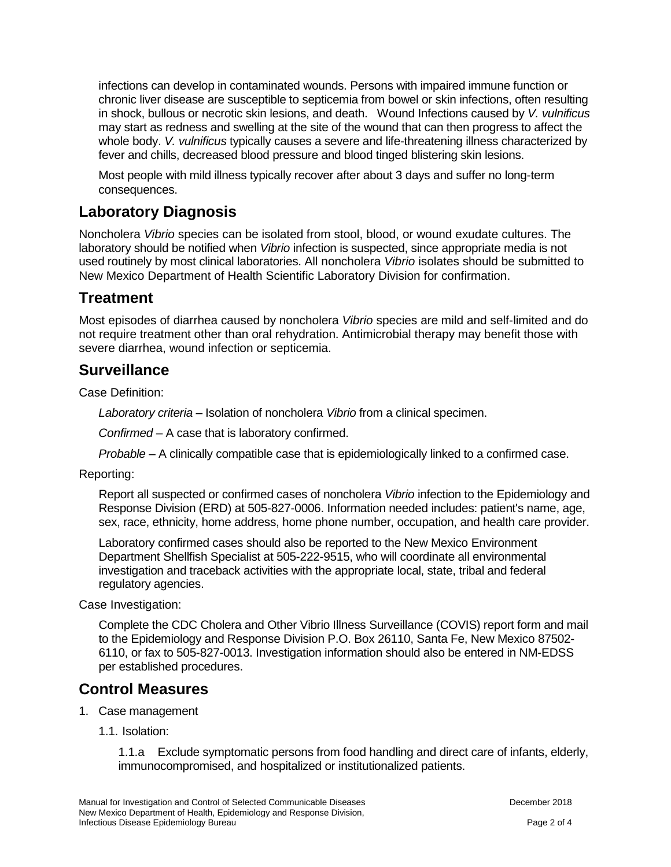infections can develop in contaminated wounds. Persons with impaired immune function or chronic liver disease are susceptible to septicemia from bowel or skin infections, often resulting in shock, bullous or necrotic skin lesions, and death. Wound Infections caused by *V. vulnificus* may start as redness and swelling at the site of the wound that can then progress to affect the whole body. *V. vulnificus* typically causes a severe and life-threatening illness characterized by fever and chills, decreased blood pressure and blood tinged blistering skin lesions.

Most people with mild illness typically recover after about 3 days and suffer no long-term consequences.

## **Laboratory Diagnosis**

Noncholera *Vibrio* species can be isolated from stool, blood, or wound exudate cultures. The laboratory should be notified when *Vibrio* infection is suspected, since appropriate media is not used routinely by most clinical laboratories. All noncholera *Vibrio* isolates should be submitted to New Mexico Department of Health Scientific Laboratory Division for confirmation.

## **Treatment**

Most episodes of diarrhea caused by noncholera *Vibrio* species are mild and self-limited and do not require treatment other than oral rehydration. Antimicrobial therapy may benefit those with severe diarrhea, wound infection or septicemia.

## **Surveillance**

Case Definition:

*Laboratory criteria* – Isolation of noncholera *Vibrio* from a clinical specimen.

*Confirmed* – A case that is laboratory confirmed.

*Probable* – A clinically compatible case that is epidemiologically linked to a confirmed case.

Reporting:

Report all suspected or confirmed cases of noncholera *Vibrio* infection to the Epidemiology and Response Division (ERD) at 505-827-0006. Information needed includes: patient's name, age, sex, race, ethnicity, home address, home phone number, occupation, and health care provider.

Laboratory confirmed cases should also be reported to the New Mexico Environment Department Shellfish Specialist at 505-222-9515, who will coordinate all environmental investigation and traceback activities with the appropriate local, state, tribal and federal regulatory agencies.

Case Investigation:

Complete the CDC Cholera and Other Vibrio Illness Surveillance (COVIS) report form and mail to the Epidemiology and Response Division P.O. Box 26110, Santa Fe, New Mexico 87502- 6110, or fax to 505-827-0013. Investigation information should also be entered in NM-EDSS per established procedures.

## **Control Measures**

- 1. Case management
	- 1.1. Isolation:

1.1.a Exclude symptomatic persons from food handling and direct care of infants, elderly, immunocompromised, and hospitalized or institutionalized patients.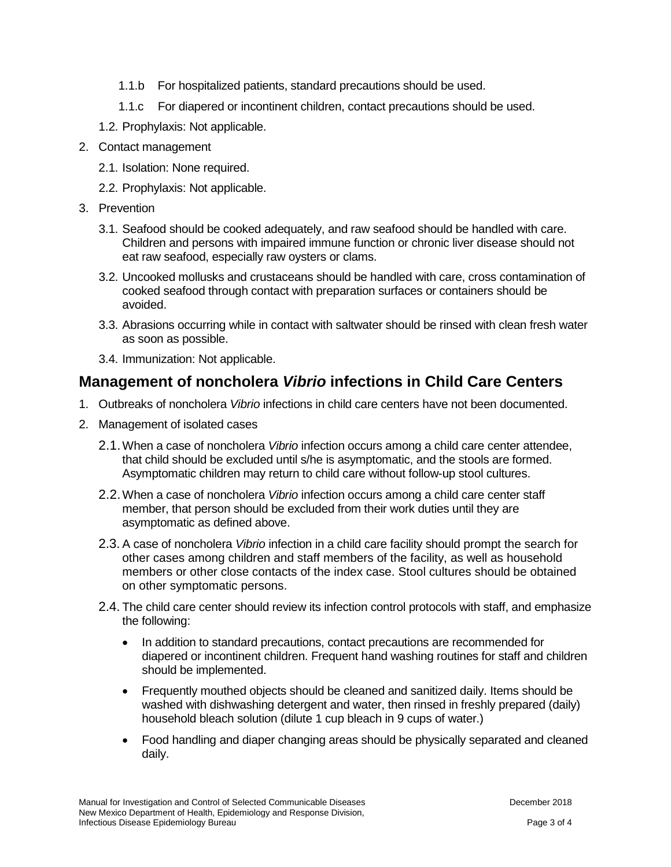- 1.1.b For hospitalized patients, standard precautions should be used.
- 1.1.c For diapered or incontinent children, contact precautions should be used.
- 1.2. Prophylaxis: Not applicable.
- 2. Contact management
	- 2.1. Isolation: None required.
	- 2.2. Prophylaxis: Not applicable.
- 3. Prevention
	- 3.1. Seafood should be cooked adequately, and raw seafood should be handled with care. Children and persons with impaired immune function or chronic liver disease should not eat raw seafood, especially raw oysters or clams.
	- 3.2. Uncooked mollusks and crustaceans should be handled with care, cross contamination of cooked seafood through contact with preparation surfaces or containers should be avoided.
	- 3.3. Abrasions occurring while in contact with saltwater should be rinsed with clean fresh water as soon as possible.
	- 3.4. Immunization: Not applicable.

## **Management of noncholera** *Vibrio* **infections in Child Care Centers**

- 1. Outbreaks of noncholera *Vibrio* infections in child care centers have not been documented.
- 2. Management of isolated cases
	- 2.1.When a case of noncholera *Vibrio* infection occurs among a child care center attendee, that child should be excluded until s/he is asymptomatic, and the stools are formed. Asymptomatic children may return to child care without follow-up stool cultures.
	- 2.2.When a case of noncholera *Vibrio* infection occurs among a child care center staff member, that person should be excluded from their work duties until they are asymptomatic as defined above.
	- 2.3. A case of noncholera *Vibrio* infection in a child care facility should prompt the search for other cases among children and staff members of the facility, as well as household members or other close contacts of the index case. Stool cultures should be obtained on other symptomatic persons.
	- 2.4. The child care center should review its infection control protocols with staff, and emphasize the following:
		- In addition to standard precautions, contact precautions are recommended for diapered or incontinent children. Frequent hand washing routines for staff and children should be implemented.
		- Frequently mouthed objects should be cleaned and sanitized daily. Items should be washed with dishwashing detergent and water, then rinsed in freshly prepared (daily) household bleach solution (dilute 1 cup bleach in 9 cups of water.)
		- Food handling and diaper changing areas should be physically separated and cleaned daily.